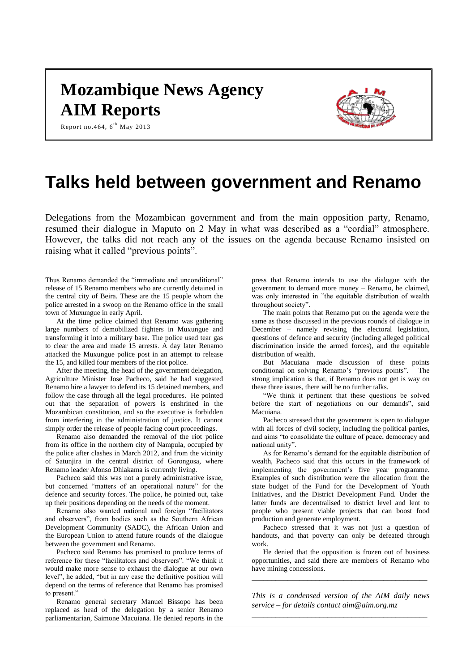# **Mozambique News Agency AIM Reports**



Report no. 464,  $6^{th}$  May 2013

# **Talks held between government and Renamo**

Delegations from the Mozambican government and from the main opposition party, Renamo, resumed their dialogue in Maputo on 2 May in what was described as a "cordial" atmosphere. However, the talks did not reach any of the issues on the agenda because Renamo insisted on raising what it called "previous points".

Thus Renamo demanded the "immediate and unconditional" release of 15 Renamo members who are currently detained in the central city of Beira. These are the 15 people whom the police arrested in a swoop on the Renamo office in the small town of Muxungue in early April.

At the time police claimed that Renamo was gathering large numbers of demobilized fighters in Muxungue and transforming it into a military base. The police used tear gas to clear the area and made 15 arrests. A day later Renamo attacked the Muxungue police post in an attempt to release the 15, and killed four members of the riot police.

After the meeting, the head of the government delegation, Agriculture Minister Jose Pacheco, said he had suggested Renamo hire a lawyer to defend its 15 detained members, and follow the case through all the legal procedures. He pointed out that the separation of powers is enshrined in the Mozambican constitution, and so the executive is forbidden from interfering in the administration of justice. It cannot simply order the release of people facing court proceedings.

Renamo also demanded the removal of the riot police from its office in the northern city of Nampula, occupied by the police after clashes in March 2012, and from the vicinity of Satunjira in the central district of Gorongosa, where Renamo leader Afonso Dhlakama is currently living.

Pacheco said this was not a purely administrative issue, but concerned "matters of an operational nature" for the defence and security forces. The police, he pointed out, take up their positions depending on the needs of the moment.

Renamo also wanted national and foreign "facilitators and observers", from bodies such as the Southern African Development Community (SADC), the African Union and the European Union to attend future rounds of the dialogue between the government and Renamo.

Pacheco said Renamo has promised to produce terms of reference for these "facilitators and observers". "We think it would make more sense to exhaust the dialogue at our own level", he added, "but in any case the definitive position will depend on the terms of reference that Renamo has promised to present."

Renamo general secretary Manuel Bissopo has been replaced as head of the delegation by a senior Renamo parliamentarian, Saimone Macuiana. He denied reports in the

press that Renamo intends to use the dialogue with the government to demand more money – Renamo, he claimed, was only interested in "the equitable distribution of wealth throughout society".

The main points that Renamo put on the agenda were the same as those discussed in the previous rounds of dialogue in December – namely revising the electoral legislation, questions of defence and security (including alleged political discrimination inside the armed forces), and the equitable distribution of wealth.

But Macuiana made discussion of these points conditional on solving Renamo's "previous points". The strong implication is that, if Renamo does not get is way on these three issues, there will be no further talks.

"We think it pertinent that these questions be solved before the start of negotiations on our demands", said Macuiana.

Pacheco stressed that the government is open to dialogue with all forces of civil society, including the political parties, and aims "to consolidate the culture of peace, democracy and national unity".

As for Renamo's demand for the equitable distribution of wealth, Pacheco said that this occurs in the framework of implementing the government's five year programme. Examples of such distribution were the allocation from the state budget of the Fund for the Development of Youth Initiatives, and the District Development Fund. Under the latter funds are decentralised to district level and lent to people who present viable projects that can boost food production and generate employment.

Pacheco stressed that it was not just a question of handouts, and that poverty can only be defeated through work.

He denied that the opposition is frozen out of business opportunities, and said there are members of Renamo who have mining concessions.

*\_\_\_\_\_\_\_\_\_\_\_\_\_\_\_\_\_\_\_\_\_\_\_\_\_\_\_\_\_\_\_\_\_\_\_\_\_\_\_\_\_\_\_\_*

*This is a condensed version of the AIM daily news service – for details contact [aim@aim.org.mz](mailto:aim@aim.org.mz) \_\_\_\_\_\_\_\_\_\_\_\_\_\_\_\_\_\_\_\_\_\_\_\_\_\_\_\_\_\_\_\_\_\_\_\_\_\_\_\_\_\_\_\_*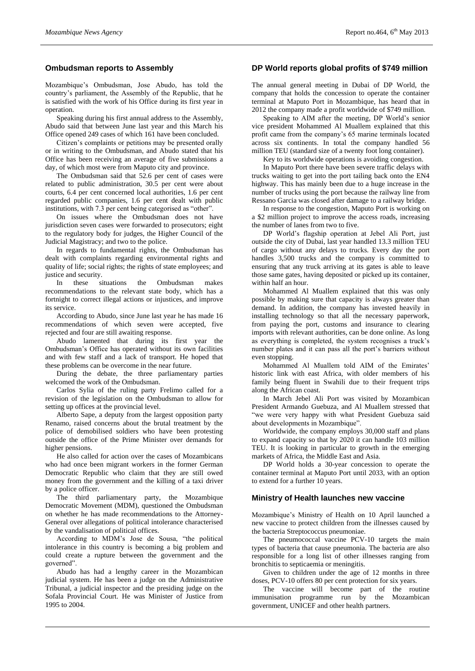## **Ombudsman reports to Assembly**

Mozambique's Ombudsman, Jose Abudo, has told the country's parliament, the Assembly of the Republic, that he is satisfied with the work of his Office during its first year in operation.

Speaking during his first annual address to the Assembly, Abudo said that between June last year and this March his Office opened 249 cases of which 161 have been concluded.

Citizen's complaints or petitions may be presented orally or in writing to the Ombudsman, and Abudo stated that his Office has been receiving an average of five submissions a day, of which most were from Maputo city and province.

The Ombudsman said that 52.6 per cent of cases were related to public administration, 30.5 per cent were about courts, 6.4 per cent concerned local authorities, 1.6 per cent regarded public companies, 1.6 per cent dealt with public institutions, with 7.3 per cent being categorised as "other".

On issues where the Ombudsman does not have jurisdiction seven cases were forwarded to prosecutors; eight to the regulatory body for judges, the Higher Council of the Judicial Magistracy; and two to the police.

In regards to fundamental rights, the Ombudsman has dealt with complaints regarding environmental rights and quality of life; social rights; the rights of state employees; and justice and security.

In these situations the Ombudsman makes recommendations to the relevant state body, which has a fortnight to correct illegal actions or injustices, and improve its service.

According to Abudo, since June last year he has made 16 recommendations of which seven were accepted, five rejected and four are still awaiting response.

Abudo lamented that during its first year the Ombudsman's Office has operated without its own facilities and with few staff and a lack of transport. He hoped that these problems can be overcome in the near future.

During the debate, the three parliamentary parties welcomed the work of the Ombudsman.

Carlos Sylia of the ruling party Frelimo called for a revision of the legislation on the Ombudsman to allow for setting up offices at the provincial level.

Alberto Sape, a deputy from the largest opposition party Renamo, raised concerns about the brutal treatment by the police of demobilised soldiers who have been protesting outside the office of the Prime Minister over demands for higher pensions.

He also called for action over the cases of Mozambicans who had once been migrant workers in the former German Democratic Republic who claim that they are still owed money from the government and the killing of a taxi driver by a police officer.

The third parliamentary party, the Mozambique Democratic Movement (MDM), questioned the Ombudsman on whether he has made recommendations to the Attorney-General over allegations of political intolerance characterised by the vandalisation of political offices.

According to MDM's Jose de Sousa, "the political intolerance in this country is becoming a big problem and could create a rupture between the government and the governed".

Abudo has had a lengthy career in the Mozambican judicial system. He has been a judge on the Administrative Tribunal, a judicial inspector and the presiding judge on the Sofala Provincial Court. He was Minister of Justice from 1995 to 2004.

### **DP World reports global profits of \$749 million**

The annual general meeting in Dubai of DP World, the company that holds the concession to operate the container terminal at Maputo Port in Mozambique, has heard that in 2012 the company made a profit worldwide of \$749 million.

Speaking to AIM after the meeting, DP World's senior vice president Mohammed Al Muallem explained that this profit came from the company's 65 marine terminals located across six continents. In total the company handled 56 million TEU (standard size of a twenty foot long container).

Key to its worldwide operations is avoiding congestion.

In Maputo Port there have been severe traffic delays with trucks waiting to get into the port tailing back onto the EN4 highway. This has mainly been due to a huge increase in the number of trucks using the port because the railway line from Ressano Garcia was closed after damage to a railway bridge.

In response to the congestion, Maputo Port is working on a \$2 million project to improve the access roads, increasing the number of lanes from two to five.

DP World's flagship operation at Jebel Ali Port, just outside the city of Dubai, last year handled 13.3 million TEU of cargo without any delays to trucks. Every day the port handles 3,500 trucks and the company is committed to ensuring that any truck arriving at its gates is able to leave those same gates, having deposited or picked up its container, within half an hour.

Mohammed Al Muallem explained that this was only possible by making sure that capacity is always greater than demand. In addition, the company has invested heavily in installing technology so that all the necessary paperwork, from paying the port, customs and insurance to clearing imports with relevant authorities, can be done online. As long as everything is completed, the system recognises a truck's number plates and it can pass all the port's barriers without even stopping.

Mohammed Al Muallem told AIM of the Emirates' historic link with east Africa, with older members of his family being fluent in Swahili due to their frequent trips along the African coast.

In March Jebel Ali Port was visited by Mozambican President Armando Guebuza, and Al Muallem stressed that "we were very happy with what President Guebuza said about developments in Mozambique".

Worldwide, the company employs 30,000 staff and plans to expand capacity so that by 2020 it can handle 103 million TEU. It is looking in particular to growth in the emerging markets of Africa, the Middle East and Asia.

DP World holds a 30-year concession to operate the container terminal at Maputo Port until 2033, with an option to extend for a further 10 years.

#### **Ministry of Health launches new vaccine**

Mozambique's Ministry of Health on 10 April launched a new vaccine to protect children from the illnesses caused by the bacteria Streptococcus pneumoniae.

The pneumococcal vaccine PCV-10 targets the main types of bacteria that cause pneumonia. The bacteria are also responsible for a long list of other illnesses ranging from bronchitis to septicaemia or meningitis.

Given to children under the age of 12 months in three doses, PCV-10 offers 80 per cent protection for six years.

The vaccine will become part of the routine immunisation programme run by the Mozambican government, UNICEF and other health partners.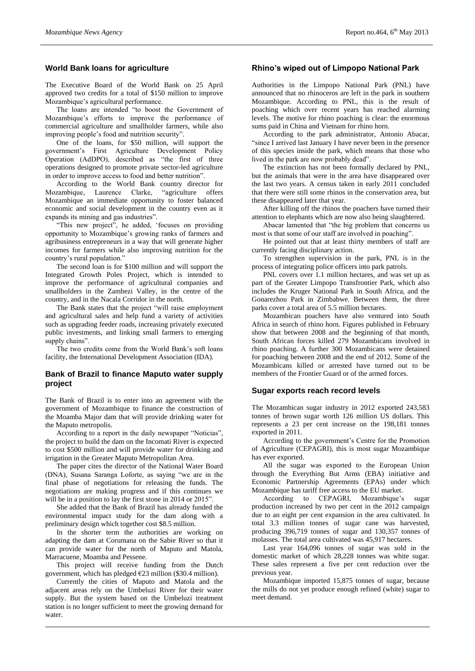## **World Bank loans for agriculture**

The Executive Board of the World Bank on 25 April approved two credits for a total of \$150 million to improve Mozambique's agricultural performance.

The loans are intended "to boost the Government of Mozambique's efforts to improve the performance of commercial agriculture and smallholder farmers, while also improving people's food and nutrition security".

One of the loans, for \$50 million, will support the government's First Agriculture Development Policy Operation (AdDPO), described as "the first of three operations designed to promote private sector-led agriculture in order to improve access to food and better nutrition".

According to the World Bank country director for Mozambique, Laurence Clarke, "agriculture offers Mozambique an immediate opportunity to foster balanced economic and social development in the country even as it expands its mining and gas industries".

"This new project", he added, 'focuses on providing opportunity to Mozambique's growing ranks of farmers and agribusiness entrepreneurs in a way that will generate higher incomes for farmers while also improving nutrition for the country's rural population."

The second loan is for \$100 million and will support the Integrated Growth Poles Project, which is intended to improve the performance of agricultural companies and smallholders in the Zambezi Valley, in the centre of the country, and in the Nacala Corridor in the north.

The Bank states that the project "will raise employment and agricultural sales and help fund a variety of activities such as upgrading feeder roads, increasing privately executed public investments, and linking small farmers to emerging supply chains".

The two credits come from the World Bank's soft loans facility, the International Development Association (IDA).

## **Bank of Brazil to finance Maputo water supply project**

The Bank of Brazil is to enter into an agreement with the government of Mozambique to finance the construction of the Moamba Major dam that will provide drinking water for the Maputo metropolis.

According to a report in the daily newspaper "Noticias", the project to build the dam on the Incomati River is expected to cost \$500 million and will provide water for drinking and irrigation in the Greater Maputo Metropolitan Area.

The paper cites the director of the National Water Board (DNA), Susana Saranga Loforte, as saying "we are in the final phase of negotiations for releasing the funds. The negotiations are making progress and if this continues we will be in a position to lay the first stone in 2014 or 2015".

She added that the Bank of Brazil has already funded the environmental impact study for the dam along with a preliminary design which together cost \$8.5 million.

In the shorter term the authorities are working on adapting the dam at Corumana on the Sabie River so that it can provide water for the north of Maputo and Matola, Marracuene, Moamba and Pessene.

This project will receive funding from the Dutch government, which has pledged €23 million (\$30.4 million).

Currently the cities of Maputo and Matola and the adjacent areas rely on the Umbeluzi River for their water supply. But the system based on the Umbeluzi treatment station is no longer sufficient to meet the growing demand for water.

## **Rhino's wiped out of Limpopo National Park**

Authorities in the Limpopo National Park (PNL) have announced that no rhinoceros are left in the park in southern Mozambique. According to PNL, this is the result of poaching which over recent years has reached alarming levels. The motive for rhino poaching is clear: the enormous sums paid in China and Vietnam for rhino horn.

According to the park administrator, Antonio Abacar, "since I arrived last January I have never been in the presence of this species inside the park, which means that those who lived in the park are now probably dead".

The extinction has not been formally declared by PNL, but the animals that were in the area have disappeared over the last two years. A census taken in early 2011 concluded that there were still some rhinos in the conservation area, but these disappeared later that year.

After killing off the rhinos the poachers have turned their attention to elephants which are now also being slaughtered.

Abacar lamented that "the big problem that concerns us most is that some of our staff are involved in poaching".

He pointed out that at least thirty members of staff are currently facing disciplinary action.

To strengthen supervision in the park, PNL is in the process of integrating police officers into park patrols.

PNL covers over 1.1 million hectares, and was set up as part of the Greater Limpopo Transfrontier Park, which also includes the Kruger National Park in South Africa, and the Gonarezhou Park in Zimbabwe. Between them, the three parks cover a total area of 5.5 million hectares.

Mozambican poachers have also ventured into South Africa in search of rhino horn. Figures published in February show that between 2008 and the beginning of that month, South African forces killed 279 Mozambicans involved in rhino poaching. A further 300 Mozambicans were detained for poaching between 2008 and the end of 2012. Some of the Mozambicans killed or arrested have turned out to be members of the Frontier Guard or of the armed forces.

#### **Sugar exports reach record levels**

The Mozambican sugar industry in 2012 exported 243,583 tonnes of brown sugar worth 126 million US dollars. This represents a 23 per cent increase on the 198,181 tonnes exported in 2011.

According to the government's Centre for the Promotion of Agriculture (CEPAGRI), this is most sugar Mozambique has ever exported.

All the sugar was exported to the European Union through the Everything But Arms (EBA) initiative and Economic Partnership Agreements (EPAs) under which Mozambique has tariff free access to the EU market.

According to CEPAGRI, Mozambique's sugar production increased by two per cent in the 2012 campaign due to an eight per cent expansion in the area cultivated. In total 3.3 million tonnes of sugar cane was harvested, producing 396,719 tonnes of sugar and 130,357 tonnes of molasses. The total area cultivated was 45,917 hectares.

Last year 164,096 tonnes of sugar was sold in the domestic market of which 28,228 tonnes was white sugar. These sales represent a five per cent reduction over the previous year.

Mozambique imported 15,875 tonnes of sugar, because the mills do not yet produce enough refined (white) sugar to meet demand.